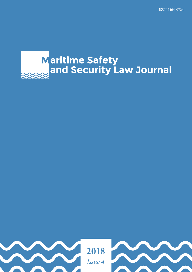# **Maritime Safety<br>and Security Law Journal**

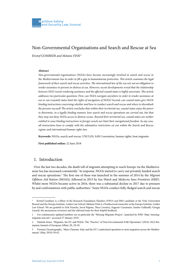### Non-Governmental Organisations and Search and Rescue at Sea

*Kristof GOMBEER and Melanie FINK\**

#### **Abstract**

*Non-governmental organisations (NGOs) have become increasingly involved in search and rescue in the Mediterranean Sea in order to fill a gap in humanitarian protection. This article examines the legal framework of their search and rescue activities. The international law of the sea sets out an obligation to render assistance to persons in distress at sea. However, recent developments reveal that the relationship between NGO vessels rendering assistance and the affected coastal states is highly uncertain. This article addresses two particular questions: First, can NGOs navigate anywhere in order to render assistance at sea or can (coastal) states limit the rights of navigation of NGOs? Second, can coastal states give NGOs binding instructions concerning whether and how to conduct search and rescue and where to disembark the persons rescued? The article concludes that within their territorial sea, coastal states enjoy the power*  to determine, in a legally binding manner, how search and rescue operations are carried out, but that *they may not deny NGOs access to distress scenes. Beyond their territorial sea, coastal states are neither entitled to issue binding instructions to foreign vessels nor limit their navigational freedom. In any case, all instructions have to comply with the substantive restrictions set out within the Search and Rescue regime and international human rights law.*

**Keywords:** NGOs, search and rescue, UNCLOS, SAR Convention, human rights, boat migrants

**First published online:** 22 June 2018

#### 1. Introduction

Over the last two decades, the death toll of migrants attempting to reach Europe via the Mediterranean Sea has increased consistently.<sup>1</sup> In response, NGOs started to carry out privately funded search and rescue operations.<sup>2</sup> The first one of these was launched in the summer of 2014 by the *Migrant Offshore Aid Station* (MOAS), followed in 2015 by *Sea-Watch* and *Médecins Sans Frontières* (MSF). Whilst more NGOs became active in 2016, there was a substantial decline in 2017 due to pressure by and confrontations with public authorities.<sup>3</sup> Some NGOs conduct fully-fledged search and rescue

Kristof Gombeer is a fellow of the Research Foundation Flanders (FWO) and PhD candidate at the Vrije Universiteit Brussel and the Europa Institute, Leiden Law School; Melanie Fink is a Postdoctoral researcher at the Europa Institute, Leiden Law School. We are grateful to Erik Franckx, Jorrit Rijpma, Thea Coventry, Eugenio Cusumano, Sandro Gallinelli, Giorgia Linardi, the anonymous reviewers and the editorial team for their helpful feedback.

<sup>1</sup> For continuously updated numbers see in particular the 'Missing Migrants Project', launched by IOM <http://missingmigrants.iom.int/> accessed 27 January 2018.

<sup>2</sup> Daniela Irrera, 'Migrants, the EU and NGOs: The 'Practice' of Non-Governmental SAR Operations' (2016) 16(3) Romanian Journal of European Affairs 20, 28-30.

<sup>3</sup> Forensic Oceanography, 'Mare Clausum: Italy and the EU's undeclared operation to stem migration across the Mediterranean' (May 2018) 58-62.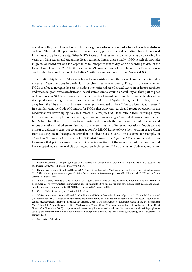operations: they patrol areas likely to be the origin of distress calls in order to spot vessels in distress early on. They take the persons in distress on board, provide first aid, and disembark the rescued individuals at a place of safety. Other NGOs focus on first response to emergencies by providing life vests, drinking water, and urgent medical treatment. Often, these smaller NGO vessels do not take migrants on board but wait for larger ships to transport them to dry land.<sup>4</sup> According to data of the Italian Coast Guard, in 2016 NGOs rescued 46,795 migrants out of the total of 178,415 persons rescued under the coordination of the Italian Maritime Rescue Coordination Center (MRCC).<sup>5</sup>

The relationship between NGO vessels rendering assistance and the relevant coastal states is highly uncertain. Two questions in particular have given rise to controversy: First, it is unclear whether NGOs are free to navigate the seas, including the territorial sea of coastal states, in order to search for and rescue migrant vessels in distress. Coastal states seem to assume a possibility on their part to pose certain limits on NGOs in this respect. The Libyan Coast Guard, for example, on 26 September 2017, attempted – on the high seas – to push back the NGO vessel *Lifeline*, flying the Dutch flag, further away from the Libyan coast and transfer the migrants rescued by the *Lifeline* to a Coast Guard vessel.<sup>6</sup> In a similar vein, the Code of Conduct for NGOs that carry out search and rescue operations in the Mediterranean drawn up by Italy in summer 2017 requires NGOs to refrain from entering Libyan territorial waters, except in situations of grave and imminent danger.<sup>7</sup> Second, it is uncertain whether NGOs have to follow instructions from coastal states on whether and how to conduct search and rescue operations and where to disembark the persons rescued. On several occasions, NGOs were at or near to a distress scene, but given instructions by MRCC Rome to leave their position or to refrain from assisting due to the expected arrival of the Libyan Coast Guard. This occurred, for example, on 23 and 24 November 2017 to a vessel of *SOS Méditerranée*, the *Aquarius*. 8 Many coastal states seem to assume that private vessels have to abide by instructions of the relevant coastal authorities and have adopted legislation explicitly setting out such obligations.<sup>9</sup> Also the Italian Code of Conduct for

<sup>4</sup> Eugenio Cusumano, 'Emptying the sea with a spoon? Non-governmental providers of migrants search and rescue in the Mediterranean' (2017) 75 Marine Policy 91, 92-94.

<sup>5</sup> Italian Coast Guard, 'Search and Rescue (SAR) activity in the central Mediterranean Sea from January 1st to December 31st 2016' <www.guardiacostiera.gov.it/attivita/Documents/attivita-sar-immigrazione-2016/ANNUALE%20ENG.pdf> accessed 27 January 2018.

<sup>6</sup> Steve Scherer, 'Rescue ship says Libyan coast guard shot at and boarded it, seeking migrants' *Reuters* (Rome, 26 September 2017) <www.reuters.com/article/us-europe-migrants-libya-ngo/rescue-ship-says-libyan-coast-guard-shot-at-andboarded-it-seeking-migrants-idUSKCN1C12I4> accessed 27 January 2018.

<sup>7</sup> On the Code of Conduct, see Section 2.2.1 below.

<sup>8</sup> SOS-Méditerranée, 'Woman Found Dead at Bottom of Rubber Boat After Rescue Operation in Central Mediterranean' (24 November 2017) <http://sosmediterranee.org/woman-found-dead-at-bottom-of-rubber-boat-after-rescue-operation-incentral-mediterranean/?lang=en> accessed 27 January 2018; SOS-Méditerranée, 'Dramatic Week in the Mediterranean: More Than 800 People Rescued by SOS Mediterranée, Whilst Crew Witnesses Interceptions at Sea by the Libyan Coast Guard' (26 November 2017) <http://sosmediterranee.org/dramatic-week-in-the-mediterranean-more-than-800-people-rescued-by-sos-mediterranee-whilst-crew-witnesses-interceptions-at-sea-by-the-libyan-coast-guard/?lang=en> accessed 27 January 2018.

See Section 4.1 below.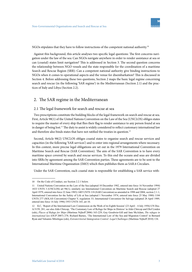

NGOs stipulates that they have to follow instructions of the competent national authority.<sup>10</sup>

Against this background, this article analyses two specific legal questions: The first concerns navigation under the law of the sea: Can NGOs navigate anywhere in order to render assistance at sea or can (coastal) states limit navigation? This is addressed in Section 3. The second question concerns the relationship between NGO vessels and the state responsible for the coordination of a maritime Search and Rescue Region (SRR): Can a competent national authority give binding instructions to NGOs when it comes to operational aspects and the venue for disembarkation? This is discussed in Section 4. Before addressing these two questions, Section 2 maps the basic legal regime concerning search and rescue (in the following 'SAR regime') in the Mediterranean (Section 2.1) and the practices of Italy and Libya (Section 2.2).

#### 2. The SAR regime in the Mediterranean

#### 2.1 The legal framework for search and rescue at sea

Two prescriptions constitute the building blocks of the legal framework on search and rescue at sea. First, Article 98(1) of the United Nations Convention on the Law of the Sea (UNCLOS) obliges states to require the master of every ship that flies their flag to render assistance to any person found at sea in danger of being lost.<sup>11</sup> The duty to assist is widely considered to reflect customary international law and therefore also binds states that have not ratified the treaties in question.<sup>12</sup>

Second, Article 98(2) UNCLOS obliges coastal states to organise search and rescue services and capacities (in the following 'SAR services') and to enter into regional arrangements where necessary. In this context, more precise legal obligations are set out in the 1979 International Convention on Maritime Search and Rescue (SAR Convention). The aim of the SAR Convention is to have every maritime space covered by search and rescue services. To this end the oceans and seas are divided into SRRs by agreement among the SAR Convention parties. These agreements are to be sent to the International Maritime Organization (IMO) which then publishes them as SAR.6 Circulars.

Under the SAR Convention, each coastal state is responsible for establishing a SAR service with-

<sup>10</sup> On the Code of Conduct, see Section 2.2.1 below.

<sup>11</sup> United Nations Convention on the Law of the Sea (adopted 10 December 1982, entered into force 16 November 1994) 1833 UNTS 3 (UNCLOS) art 98(1); similarly see International Convention on Maritime Search and Rescue (adopted 27 April 1979, entered into force 22 June 1985) 1405 UNTS 118 (SAR Convention) as amended in 1998 and 2004, section 2.1.1; International Convention for the Safety of Life at Sea (adopted 1 November 1974, entered into force 25 May 1980) 1184 UNTS 277 (SOLAS Convention) Chapter V, regulation 33; International Convention On Salvage (adopted 28 April 1989, entered into force 14 July 1996) 1953 UNTS 165, art 10.

<sup>12</sup> ILC, 'Report of the International Law Commission on the Work of its Eighth Session' (23 April – 4 July 1956) UN Doc. A/3159, 281; see also Aldo Chircop, 'The Customary Law of Refuge for Ships in Distress' in Aldo Chircop and Olof Linden (eds), *Places of Refuge for Ships* (Martinus Nijhoff 2006) 163-229; Guy Goodwin-Gill and Jane McAdam, *The refugee in international law* (OUP 2007) 278; Richard Barnes, 'The International Law of the Sea and Migration Control' in Bernard Ryan and Valsamis Mitsilegas (eds), *Extraterritorial Immigration Control: Legal Challenges* (Martinus Nijhoff 2010) 134.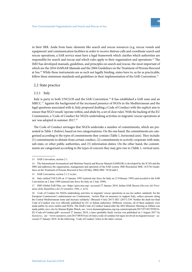in their SRR. Aside from basic elements like search and rescue resources (e.g. rescue vessels and equipment) and communication facilities in order to receive distress calls and coordinate search and rescue operations, a SAR service must have a legal framework which clarifies which authorities are responsible for search and rescue and which rules apply to their organisation and operations.<sup>13</sup> The IMO has developed manuals, guidelines, and principles on search and rescue, the most important of which are the 2016 IAMSAR Manuals and the 2004 Guidelines on the Treatment of Persons Rescued at Sea.<sup>14</sup> While these instruments are as such not legally binding, states have to, as far as practicable, follow these minimum standards and guidelines in their implementation of the SAR Convention.<sup>15</sup>

#### 2.2 State practice

#### 2.2.1 Italy

Italy is party to both UNCLOS and the SAR Convention.<sup>16</sup> It has established a SAR zone and an MRCC.<sup>17</sup> Against the background of the increased presence of NGOs in the Mediterranean and the legal questions associated with it, Italy proposed drafting a Code of Conduct with the explicit aim to ensure that NGO vessels 'operate within, and abide by, a set of clear rules'. With the backing of the EU Commission, a 'Code of Conduct for NGOs undertaking activities in migrants' rescue operations at sea' was adopted in summer 2017.<sup>18</sup>

The Code of Conduct envisages that NGOs undertake a number of commitments, which are presented in Table 1 (below), based on two categorisations. On the one hand, the commitments are categorised according to the types of commitments they contain (Table 1, horizontal axis). They include: (1) commitments to abstain from certain conduct, (2) commitments to actively cooperate with state, sub-state, or other public authorities, and (3) information duties. On the other hand, the commitments are categorised according to the types of concern they may give rise to (Table 1, vertical axis).

<sup>13</sup> SAR Convention, section 2.1.

<sup>14</sup> The International Aeronautical and Maritime Search and Rescue Manual (IAMSAR) is developed by the ICAO and the IMO and addresses the organisation, management and operation of the SAR system; IMO Resolution MSC.167(78) Guidelines on the Treatment of Persons Rescued at Sea (20 May 2004) MSC 78/26/add.2.

<sup>15</sup> SAR Convention, section 2.1.2 *in fine*.

<sup>16</sup> Italy ratified UNCLOS on 13 January 1995 (entered into force for Italy on 12 February 1995) and acceded to the SAR Convention on 2 June 1989 (entered into force for Italy on 2 July 1989).

<sup>17</sup> IMO Global SAR Plan, see <https://gisis.imo.org> accessed 27 January 2018; Italian SAR Decree (*Decreto del Presidente della Repubblica del 28 settembre 1994, n. 622*).

<sup>18</sup> Code of Conduct for NGOs undertaking activities in migrants' rescue operations at sea (no author, undated); for the European Commission's endorsement see Commission, 'Action Plan on measures to support Italy, reduce pressure along the Central Mediterranean route and increase solidarity' (Brussels 4 July 2017) SEC (2017) 339. Neither the draft nor final Code of Conduct was ever officially published by EU or Italian authorities. Different versions, all of them undated, were made public by news outlets and NGOs. The Draft Code of Conduct leaked after the JHA Ministers Meeting in Tallinn was made public *inter alia* by Human Rights Watch, see <www.humanrightsatsea.org/wp-content/uploads/2017/07/2017070516-EU-Code-of-Conduct.pdf> accessed 27 January 2018; a later (probably final) version was published on 3 August 2017 by *Euronews*, see <www.euronews.com/2017/08/03/text-of-italys-code-of-conduct-for-ngos-involved-in-migrant-rescue> accessed 27 January 2018. In the following, 'Code of Conduct' refers to the latter version.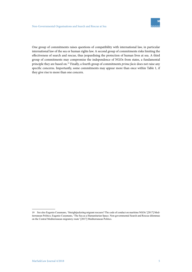One group of commitments raises questions of compatibility with international law, in particular international law of the sea or human rights law. A second group of commitments risks limiting the effectiveness of search and rescue, thus jeopardising the protection of human lives at sea. A third group of commitments may compromise the independence of NGOs from states, a fundamental principle they are based on.<sup>19</sup> Finally, a fourth group of commitments *prima facie* does not raise any specific concerns. Importantly, some commitments may appear more than once within Table 1, if they give rise to more than one concern.

<sup>19</sup> See also Eugenio Cusumano, 'Straightjacketing migrant rescuers? The code of conduct on maritime NGOs' [2017] Mediterranean Politics; Eugenio Cusumano, 'The Sea as a Humanitarian Space. Non-governmental Search and Rescue dilemmas on the Central Mediterranean migratory route' [2017] Mediterranean Politics.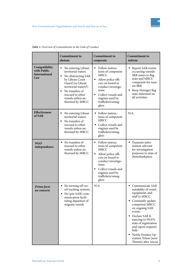

|                                                             | <b>Commitment to</b><br>abstain                                                                                                                                                                                          | <b>Commitment to</b><br>cooperate                                                                                                                                                                                                              | <b>Commitment to</b><br>inform                                                                                                                                                                                                                                                                                                  |
|-------------------------------------------------------------|--------------------------------------------------------------------------------------------------------------------------------------------------------------------------------------------------------------------------|------------------------------------------------------------------------------------------------------------------------------------------------------------------------------------------------------------------------------------------------|---------------------------------------------------------------------------------------------------------------------------------------------------------------------------------------------------------------------------------------------------------------------------------------------------------------------------------|
| Compatibility<br>with Public<br><b>International</b><br>Law | No entering Libyan<br>territorial waters<br>No obstructing SAR<br>٠<br>by Libyan Coast<br>Guard (in Libyan<br>territorial waters?)<br>No transfers of<br>٠<br>rescued to other<br>vessels unless au-<br>thorised by MRCC | Follow instruc-<br>tions of competent<br>MRCC<br>Allow police offi-<br>П<br>cers on board to<br>conduct investiga-<br>tions<br>Collect vessels and<br>$\blacksquare$<br>engines used by<br>traffickers/smug-<br>glers                          | Report SAR events<br>occurring outside<br>SRR zones to flag<br>state and MRCC<br>competent for near-<br>est SRR<br>Keep (foreign) flag<br>٠<br>state informed on<br>all activities                                                                                                                                              |
| <b>Effectiveness</b><br>of SAR                              | No entering Libyan<br>territorial waters<br>No transfers of<br>٠<br>rescued to other<br>vessels unless au-<br>thorised by MRCC                                                                                           | Follow instruc-<br>tions of competent<br><b>MRCC</b><br>Collect vessels and<br>engines used by<br>traffickers/smug-<br>glers                                                                                                                   | N/A                                                                                                                                                                                                                                                                                                                             |
| <b>NGO</b><br>independence                                  | • No transfers of<br>rescued to other<br>vessels unless au-<br>thorised by MRCC                                                                                                                                          | Follow instruc-<br>$\blacksquare$<br>tions of competent<br><b>MRCC</b><br>٠<br>Allow police offi-<br>cers on board to<br>conduct investiga-<br>tions<br>Collect vessels and<br>$\blacksquare$<br>engines used by<br>traffickers/smug-<br>glers | Transmit infor-<br>٠<br>mation relevant<br>for investigation<br>purposes to state of<br>disembarkation                                                                                                                                                                                                                          |
| Prima facie<br>no concern                                   | • No turning off ves-<br>sel tracking systems<br>$\blacksquare$ No (pre-SAR) com-<br>munication facili-<br>tating departure of<br>migrant vessels                                                                        | N/A                                                                                                                                                                                                                                            | • Communicate SAR<br>suitability of vessel,<br>equipment, and<br>staff to MRCC<br>Constantly update<br>٠<br>competent MRCC<br>on ongoing SAR<br>events<br>Declare SAR fi-<br>٠<br>nancing to NGO's<br>state of registration<br>and (upon request)<br>Italy<br>Notify Frontex Op-<br>eration Triton [now<br>Themis] after rescue |

*Table 1: Overview of Commitments in the Code of Conduct*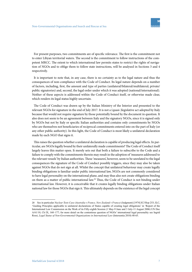For present purposes, two commitments are of specific relevance. The first is the commitment not to enter Libyan territorial waters. The second is the commitment to follow instructions of the competent MRCC. The extent to which international law permits states to restrict the rights of navigation of NGOs and to oblige them to follow state instructions, will be analysed in Sections 3 and 4 respectively.

It is important to note that, in any case, there is no certainty as to the legal nature and thus the consequences of non-compliance with the Code of Conduct. Its legal nature depends on a number of factors, including, first, the amount and type of parties (unilateral/bilateral/multilateral; private/ public signatories) and, second, the legal order under which it was adopted (national/international). Neither of these aspects is addressed within the Code of Conduct itself, or otherwise made clear, which renders its legal status highly uncertain.

The Code of Conduct was drawn up by the Italian Ministry of the Interior and presented to the relevant NGOs for signature in the end of July 2017. It is not a (quasi-)legislative act adopted by Italy because that would not require signature by those potentially bound by the document in question. It also does not seem to be an agreement between Italy and the signatory NGOs, since it is signed only by NGOs but not by Italy or specific Italian authorities and contains only commitments by NGOs who are themselves not beneficiaries of reciprocal commitments entered into on the part of Italy (or any other public authority). In this light, the Code of Conduct is most likely a unilateral declaration made by each NGO that signs it.

This raises the question whether a unilateral declaration is capable of producing legal effects. In particular, are NGOs legally bound by their unilaterally made commitments? The Code of Conduct itself largely leaves this matter open. It merely sets out that both a failure to subscribe to the Code and a failure to comply with the commitments therein may result in the adoption of 'measures addressed to the relevant vessels' by Italian authorities. These 'measures', however, seem to be unrelated to the legal consequences the signature of the Code of Conduct possibly triggers, since they may also be taken against NGOs that do not sign at all. Whilst the concept that unilateral behaviour may create legally binding obligations is familiar under public international law, NGOs are not commonly considered to have legal personality on the international plane, and may thus also not create obligations binding on them as a matter of public international law.<sup>20</sup> Thus, the Code of Conduct is not binding under international law. However, it is conceivable that it creates legally binding obligations under Italian national law for those NGOs that sign it. This ultimately depends on the existence of the legal concept

<sup>20</sup> See in particular *Nuclear Tests Case (Australia v France, New Zealand v France)* (Judgment) [1974] ICJ Rep 253; ILC, 'Guiding Principles applicable to unilateral declarations of States capable of creating legal obligations' in 'Report of the International Law Commission on the Work of its Fifty-eighth Session (1 May-9 June and 3 July-11 August 2006) UN Doc A/61/10, Ch IX, 160–177; for more detail on the contentious question of NGOs' international legal personality see Ingrid Rossi, *Legal Status of Non-Governmental Organizations in International Law* (Intersentia 2010) 48-65.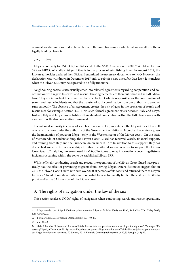

of unilateral declarations under Italian law and the conditions under which Italian law affords them legally binding character.

#### 2.2.2 Libya

Libya is not party to UNCLOS, but did accede to the SAR Convention in 2005.<sup>21</sup> Whilst no Libyan SRR or MRCC officially exist yet, Libya is in the process of establishing them. In August 2017, the Libyan authorities declared their SRR and submitted the necessary documents to IMO. However, the declaration was withdrawn in December 2017 only to submit a new one a few days later. It is unclear when the Libyan SRR may be expected to be fully functional.

Neighbouring coastal states usually enter into bilateral agreements regarding cooperation and coordination with regard to search and rescue. These agreements are then published in the IMO database. They are important to ensure that there is clarity of who is responsible for the coordination of search and rescue incidents and that the transfer of such coordination from one authority to another runs smoothly. The absence of an agreement creates the risk of gaps in the provision of search and rescue (see for example Section 4.2.1). No such formal agreement exists between Italy and Libya. Instead, Italy and Libya have substituted this standard cooperation within the IMO framework with a rather unorthodox cooperative framework.

The national authority in charge of search and rescue in Libyan waters is the Libyan Coast Guard. It officially functions under the authority of the Government of National Accord and operates – given the fragmentation of power in Libya – only in the Western sector of the Libyan coast. On the basis of Memoranda of Understanding, the Libyan Coast Guard has received vessels, financial support, and training from Italy and the European Union since 2016.<sup>22</sup> In addition to this support, Italy has dispatched some of its own war ships to Libyan territorial waters in order to support the Libyan Coast Guard.<sup>23</sup> Italy has, moreover, used its MRCC in Rome to relay information concerning distress incidents occurring within the yet to be established Libyan SRR.

Whilst officially conducting search and rescue, the operations of the Libyan Coast Guard have practically had the effect of preventing migrants from leaving Libyan waters. Estimates suggest that in 2017 the Libyan Coast Guard retrieved over 80,000 persons off its coast and returned them to Libyan territory.<sup>24</sup> In addition, its activities were reported to have frequently limited the ability of NGOs to provide effective SAR services off the Libyan coast.

#### 3. The rights of navigation under the law of the sea

This section analyses NGOs' rights of navigation when conducting search and rescue operations.

<sup>21</sup> Libya acceded on 28 April 2005 (entry into force for Libya on 28 May 2005), see IMO, SAR/Circ. 77 (17 May 2005) Ref. A1/W/2.03.

<sup>22</sup> For more detail, see Forensic Oceanography (n 3) 40-46.

<sup>23</sup> ibid 48-49.

<sup>24</sup> Safa Alharathy, 'Libyan and Italian officials discuss joint cooperation to combat illegal immigration' *The Libya Observer* (Tripoli, 9 December 2017) <www.libyaobserver.ly/news/libyan-and-italian-officials-discuss-joint-cooperation-combat-illegal-immigration> accessed 27 January 2018. Forensic Oceanography speaks of 20,335 people (n 3) 57.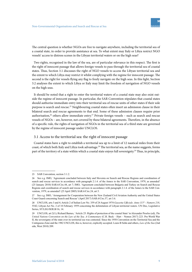

The central question is whether NGOs are free to navigate anywhere, including the territorial sea of a coastal state, in order to provide assistance at sea. To what extent may Italy or Libya restrict NGO vessels' access to distress scenes in the Libyan territorial waters or on the high seas?

Two rights, recognised in the law of the sea, are of particular relevance in this respect. The first is the right of innocent passage that allows foreign vessels to pass through the territorial sea of coastal states. Thus, Section 3.1 discusses the right of NGO vessels to access the Libyan territorial sea and the extent to which Libya may restrict it whilst complying with the regime for innocent passage. The second is the right for vessels flying any flag to freely navigate on the high seas. In this light, Section 3.2 analyses the extent to which Libya or Italy may limit the freedom of navigation of NGO vessels on the high seas.

It should be noted that a right to enter the territorial waters of a coastal state may also exist outside the regime of innocent passage. In particular, the SAR Convention stipulates that coastal states should authorise immediate entry into their territorial sea of rescue units of other states if their sole purpose is search and rescue.<sup>25</sup> Neighbouring coastal states often insert an admission clause in their bilateral search and rescue agreements to that end. Some of these admission clauses require prior authorisation,<sup>26</sup> others allow immediate entry.<sup>27</sup> Private foreign vessels – such as search and rescue vessels of NGOs – are, however, not covered by these bilateral agreements. Therefore, in the absence of a specific rule, the rights of navigation of NGOs in the territorial sea of a third state are governed by the regime of innocent passage under UNCLOS.

#### 3.1 Access to the territorial sea: the right of innocent passage

Coastal states have a right to establish a territorial sea up to a limit of 12 nautical miles from their coast, of which both Italy and Libya took advantage.<sup>28</sup> The territorial sea, as the name suggests, forms part of the territory of a state within which a coastal state enjoys full sovereignty.<sup>29</sup> Thus, in principle,

<sup>25</sup> SAR Convention, section 3.1.2.

<sup>26</sup> See e.g. IMO, 'Agreement concluded between Italy and Slovenia on Search and Rescue Regions and coordination of search and rescue services in accordance with paragraph 2.1.4. of the Annex to the SAR Convention, 1979, as amended' (25 January 2010) SAR.6/Circ.44, art 7; IMO, 'Agreement concluded between Bulgaria and Turkey on Search and Rescue Regions and coordination of search and rescue services in accordance with paragraph 2.1.4. of the Annex to the SAR Convention, 1979, as amended' (25 April 2005) SAR.6/Circ.24, art 5.

<sup>27</sup> See e.g. IMO, 'Arrangement for Cooperation between the New Zealand Civil Aviation Authority and the United States Coast Guard concerning Search and Rescue' (April 2017) SAR.6/Circ.57, art 3.6.

<sup>28</sup> UNCLOS, arts 3 and 4; Article 2 of Italian Law No. 359 of 24 August 1974 *Gazzetta Ufficiale. Anno 115° - Numero 218*, 5542; Libyan Act No. 2 of 18 February 1959 concerning the delimitation of Libyan territorial waters. UN Doc, Legislative Series, ST/LEG/SER.B/16, 14.

<sup>29</sup> UNCLOS, art 2(1); Richard Barnes, 'Article 25: Rights of protection of the coastal State' in Alexander Proelss (ed), *The United Nations Convention on the Law of the Sea. A Commentary* (C.H. Beck – Hart – Nomos 2017) 223. Pre-World War II, the sovereignty of the state over its territorial sea was contested. Since the 1958 Convention on the Territorial Sea and the Contiguous Zone and the 1982 UNCLOS, this is, however, explicitly accepted. Louis B Sohn and others, *Law of the Sea* (2nd edn, West 2010) 209.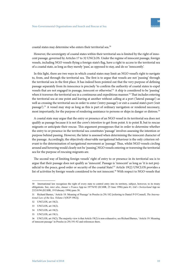coastal states may determine who enters their territorial sea.<sup>30</sup>

However, the sovereignty of coastal states within their territorial sea is limited by the right of innocent passage, governed by Articles 17 to 32 UNCLOS. Under the regime of innocent passage, foreign vessels, including NGO vessels flying a foreign state's flag, have a right to access to the territorial sea of a coastal state, as long as they merely 'pass', as opposed to stay, and do so 'innocently'.

In this light, there are two ways in which coastal states may limit an NGO vessel's right to navigate to, from, and through the territorial sea. The first is to argue that vessels are not 'passing' through the territorial sea in the first place. It has indeed been pointed out that the very purpose of defining passage separately from its innocence is precisely 'to confirm the authority of coastal states to expel vessels that are not engaged in passage, innocent or otherwise'.<sup>31</sup> A ship is considered to be 'passing' when it traverses the territorial sea in a continuous and expeditious manner.<sup>32</sup> That includes entering the territorial sea at one point and leaving at another without calling at a port ('lateral passage') as well as crossing the territorial sea in order to enter ('entry passage') or exit a coastal state's port ('exit passage').<sup>33</sup> A vessel may stop as long as this is part of ordinary navigation or rendered necessary, most importantly, for the purpose of rendering assistance to persons or ships in danger or distress.<sup>34</sup>

A coastal state may argue that the entry or presence of an NGO vessel in its territorial sea does not qualify as passage because it is not the crew's *intention* to get from point A to point B, but to rescue migrants or anticipate their rescue. This argument presupposes that in order to determine whether the entry to or presence in the territorial sea constitutes 'passage' involves assessing the intention or purpose behind passing. However, the latter is assessed when determining the innocent character of the passage. Accordingly, the objectively observable navigational behaviour is the only criterion relevant to the determination of navigational movement as 'passage'. Thus, whilst NGO vessels circling around and hovering would clearly not be 'passing', NGO vessels entering or traversing the territorial sea for the purpose of rescuing migrants are.

The second way of limiting foreign vessels' right of entry to or presence in its territorial sea is to argue that their passage does not qualify as 'innocent'. Passage is 'innocent' as long as 'it is not prejudicial to the peace, good order or security of the coastal State<sup>235</sup> Article 19(2) UNCLOS provides a list of activities by foreign vessels considered to be not innocent.<sup>36</sup> With respect to NGO vessels that

<sup>30</sup> International law recognises the right of every state to control entry into its territory, subject, however, to its treaty obligations. See, *inter alia*, *Amuur v France* App no 19776/92 (ECtHR, 25 June 1996) para 41; *Gül v Switzerland* App no 23218/94 (ECtHR, 19 February 1996) para 38.

<sup>31</sup> Richard Barnes, 'Article 18: Meaning of Passage' in Proelss (n 29) 182 [referring to Daniel P O'Connell, *The International Law of the Sea. Volume I* (OUP 1982)].

<sup>32</sup> UNCLOS, art 18(2).

<sup>33</sup> UNCLOS, art 18(2).

<sup>34</sup> UNCLOS, art 18(2).

<sup>35</sup> UNCLOS, art 19(1).

<sup>36</sup> UNCLOS, art 19(2); The majority view is that Article 19(2) is non-exhaustive, see Richard Barnes, 'Article 19: Meaning of innocent passage' in Proelss (n 29) 191-92 and references there.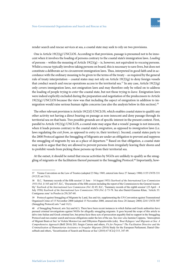

render search and rescue services at sea, a coastal state may seek to rely on two provisions.

One is Article  $19(2)(g)$  UNCLOS. According to that provision, passage is presumed not to be innocent when it involves the loading of persons contrary to the coastal state's immigration laws. *Loading* of persons – within the meaning of Article 19(2)(g) – is, however, not equivalent to *rescuing* persons. Whilst a rescue typically involves taking persons on board, this is necessary to save lives, but does not constitute a deliberate act to circumvent immigration laws. Thus, interpreted in good faith and in accordance with the ordinary meaning to be given to the terms of the treaty – as required by the general rule of treaty interpretation – coastal states may not rely on Article 19(2)(g) to deny foreign vessels that conduct search and rescue operations access to the territorial sea.<sup>37</sup> In any case, Article 19(2)(g) only covers immigration laws, not emigration laws and may therefore only be relied on to address the loading of people trying to *enter* the coastal state, but not those trying to *leave*. Emigration laws were indeed explicitly excluded during the preparation and negotiation of the predecessors to Article  $19(2)(g)$  UNCLOS because the view was that including the aspect of emigration in addition to immigration would raise serious human rights concerns (see also the analysis below in this section).<sup>38</sup>

The other relevant provision is Article 19(2)(l) UNCLOS, which enables coastal states to qualify any other activity not having a direct bearing on passage as non-innocent and deny passage through its territorial sea on that basis. Two possible grounds are of specific interest in the present context. First, parallel to Article  $19(2)(g)$  UNCLOS, a coastal state may argue that a vessels' passage is not innocent, when it loads persons contrary to the coastal state's *emigration*, as opposed to *immigration* laws (i.e. laws regulating the *exit from*, as opposed to *entry to*, their territory). Second, coastal states party to the 2000 Protocol against the Smuggling of Migrants are under an obligation to prevent and suppress the smuggling of migrants by sea as a place of departure.<sup>39</sup> Based on that obligation, a coastal state may seek to argue that they are allowed to prevent persons from irregularly leaving their shores and to prohibit vessels from picking these persons up from their territorial sea.

At the outset, it should be noted that rescue activities by NGOs are unlikely to qualify as the smuggling of migrants or the facilitation thereof pursuant to the Smuggling Protocol.40 Importantly, how-

<sup>37</sup> Vienna Convention on the Law of Treaties (adopted 23 May 1969, entered into force 27 January 1980) 1155 UNTS 331 (VCLT) art 31(1).

<sup>38</sup> ILC, 'Summary records of the fifth session' (1 June – 14 August 1953) *Yearbook of the International Law Commission 1953 (Vol. I)* 165 and 167; ILC, 'Documents of the fifth session including the report of the Commission to the General Assembly' *Yearbook of the International Law Commission (Vol. II)* 45; ILC, 'Summary records of the eighth session' (23 April – 4 July 1956) *Yearbook of the International Law Commission 1956 (Vol. I)* 73-78. See also Daniel-Erasmus Khan, 'Article 33: Contiguous zone' in Proelss (n 29) 267-68.

<sup>39</sup> Protocol against Smuggling of Migrants by Land, Sea and Air, supplementing the UN Convention against Transnational Organized Crime of 15 November 2000 (adopted 15 November 2000, entered into force 28 January 2004) 2241 UNTS 507 (Smuggling Protocol) arts 7 and 11(1).

<sup>40</sup> cf Smuggling Protocol, arts 3(a) and 6(1). There have been recent instances in which Italian and Greek authorities have pursued criminal investigations against NGOs for allegedly smuggling migrants. It goes beyond the scope of this article to delve into Italian and Greek criminal law, but prima facie these acts of prosecution arguably find no support in the Smuggling Protocol and run counter search and rescue obligations under the law of the sea. See *inter alia* Jasmine Coppens, 'Interception of Migrant Boats at Sea' in Violeta Moreno-Lax and Efthymios Papastavridis (eds), *'Boat Refugees' and Migrants at Sea: A Comprehensive Approach* (Brill 2016) 203; Sergio Carrera and others, *Fit for Purpose? The Facilitation Directive and the Criminalisation of Humanitarian Assistance to Irregular Migrants* (2016) Study for the European Parliament; Daniel Ghezelbash and others, 'Securitization of Search and Rescue at Sea' (2018) 67 ICLQ 315, 347-49.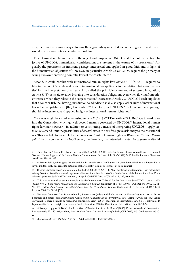

ever, there are two reasons why enforcing these grounds against NGOs conducting search and rescue would in any case contravene international law.

First, it would not be in line with the object and purpose of UNCLOS. While not the central objective of UNCLOS, humanitarian considerations are 'present in the texture of its provisions'.<sup>41</sup> Arguably, the provisions on innocent passage, interpreted and applied in good faith and in light of the humanitarian objectives of UNCLOS, in particular Article 98 UNCLOS, require the primacy of saving lives over enforcing domestic laws of the coastal state.<sup>42</sup>

Second, it would conflict with international human rights law. Article 31(3)(c) VCLT requires to take into account 'any relevant rules of international law applicable in the relations between the parties' for the interpretation of a treaty. Also called the principle or method of systemic integration, Article 31(3)(c) is said to allow bringing into consideration obligations even when flowing from other treaties, when they relate to the subject matter.<sup>43</sup> Moreover, Article 293 UNCLOS itself stipulates that a court or tribunal having jurisdiction to adjudicate shall also apply 'other rules of international law not incompatible with [the] Convention.<sup>244</sup> Therefore, the UNCLOS Articles on innocent passage should be interpreted and applied in light of international human rights law.<sup>45</sup>

Concerns might be raised when using Article 31(3)(c) VCLT or Article 293 UNCLOS to read rules into the Convention which go well beyond matters governed by UNCLOS.<sup>46</sup> International human rights law may however – in addition to constituting a means of interpreting UNCLOS – apply *autonomously* and limit the possibilities of coastal states to deny foreign vessels entry to their territorial sea. This was held for example by the European Court of Human Rights in *Women on Waves v Portugal*. <sup>47</sup> The case concerned an NGO vessel, the *Borndiep*, that intended to enter Portuguese territorial

<sup>41</sup> Tullio Treves, 'Human Rights and the Law of the Sea' (2010) 28(1) Berkeley Journal of International Law 1, 3; Bernard Oxman, 'Human Rights and the United Nations Convention on the Law of the Sea' (1998) 36 Columbia Journal of Transnational Law 399, 401-02.

<sup>42</sup> cf Treves, ibid 6, who argues that the activity that entails less risk of human life should prevail when it is impossible to have simultaneously due regard to activities that are equally legal or pose issues of norm conflict.

<sup>43</sup> Richard Gardiner, *Treaty Interpretation* (2nd edn, OUP 2015) 299; ILC, 'Fragmentation of international law: difficulties arising from the diversification and expansion of international law. Report of the Study Group of the International Law Commission*'* (prepared by Martti Koskenniemi, 13 April 2006) UN Docs. A/CN.4/L.682, 209, para 416.

<sup>44</sup> This was confirmed on several occasions by the International Tribunal for the Law of the Sea (ITLOS), see e.g. *M/V*  'Saiga' (No. 2) Case (Saint Vincent and the Grenadines v Guinea) (Judgment of 1 July 1999) ITLOS Reports 1999, 10, 61-62, [155]; /M/V/ '*Juno Trader' Case (Saint Vincent and the Grenadines v Guinea)* (Judgment of 18 December 2004) ITLOS Reports 2004, 19, 38-39, [77].

<sup>45</sup> For more detail see: Irini Papanicolopulu, 'International Judges and the Protection of Human Rights at Sea' in Nerina Boschiero and others (eds), *International Courts and the Development of International Law* (Springer 2013) 535, 542; Seline Trevisanut, 'Is there a right to be rescued? A constructive view' (2004) 4 Questions of International Law 3, 9-11; Efthymios D Papastavridis, 'Is there a right to be rescued? A skeptical view' (2004) 4 Questions of International Law 17, 23-24.

<sup>46</sup> cf Rosalyn Higgins, 'A Babel of Judicial Voices? Ruminations from the Bench' (2006) 55 International and Comparative Law Quarterly 791, 802-04; Anthony Aust, *Modern Treaty Law and Practice* (2nd edn, OUP 2007) 243; Gardiner (n 43) 320-  $23$ 

<sup>47</sup> *Women On Waves v Portugal* App no 31276/05 (ECtHR, 3 February 2009).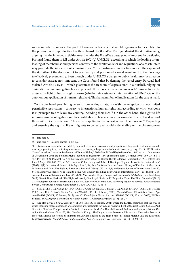waters in order to moor at the port of Figueira da Foz where it would organise activities related to the promotion of reproductive health on board the *Borndiep*. Portugal denied the *Borndiep* entry, arguing that the intended activities would render the *Borndiep*'s passage non-innocent. In particular, Portugal found them to fall under Article  $19(2)(g)$  UNCLOS, according to which the loading or unloading of merchandise and persons contrary to the sanitation laws and regulations of a coastal state may preclude the innocence of a passing vessel.<sup>48</sup> The Portuguese authorities notified the captain of the *Borndiep* of the decision not to grant entry and positioned a naval vessel next to the *Borndiep* to effectively prevent entry. Even though under UNCLOS a danger to public health may be a reason to consider passage non-innocent, the Court found that by denying the vessel entry, Portugal had violated Article 10 ECHR, which guarantees the freedom of expression.<sup>49</sup> In a nutshell, relying on emigration or anti-smuggling laws to preclude the innocence of a foreign vessels' passage has to be assessed in light of human rights norms (whether via systematic interpretation of UNCLOS or the autonomous application of human rights law). This has a number of implications for the case at hand.

On the one hand, prohibiting persons from exiting a state, is – with the exception of a few limited permissible restrictions – contrary to international human rights law, according to which everyone is in principle free to leave any country, including their own.<sup>50</sup> On the other hand, the right to life imposes positive obligations on the coastal state to take adequate measures to prevent the deaths of those within its jurisdiction.<sup>51</sup> This equally applies in the context of search and rescue.<sup>52</sup> Respecting and ensuring the right to life of migrants to be rescued would – depending on the circumstances

<sup>48</sup> ibid para 8.

<sup>49</sup> ibid para 44. See also Barnes (n 36) 192.

<sup>50</sup> Restrictions have to be provided by law and have to be necessary and proportional. Legitimate restrictions include securing a pending trial, protecting state secrets, recovering a large amount of unpaid taxes, or giving effect to UN Security Council sanctions. Universal Declaration of Human Rights, UNGA Res 217 A (III) (10 December 1948) art 1(2); International Covenant on Civil and Political Rights (adopted 16 December 1966, entered into force 23 March 1976) 999 UNTS 171 (ICCPR) art 12(2); Protocol No. 4 to the European Convention on Human Rights (adopted 16 September 1963, entered into force 2 May 1968) 046 ETS, art 2(2). See also Colin Harvey and Robert P Barnidge, 'Right to Leave in International Law' (2007) 19(1) International Journal of Refugee Law 1, 14; Jane McAdam, 'An Intellectual History of Freedom of Movement in International Law: The Right to Leave as a Personal Liberty' (2011) 12(1) Melbourne Journal of International Law 27, 54-55; Dimitry Kochenov, 'The Right to Leave Any Country Including Your Own in International Law' (2012) 28(1) Connecticut Journal of International Law 43, 64-68; Maarten den Heijer, *Europe and Extraterritorial Asylum* (Hart Publishing 2012) 246-49; Nora Markard, 'The Right to Leave by Sea: Legal Limits on EU Migration Control by Third Countries' (2016) 27(3) European Journal of International Law 591, 609; Violeta Moreno-Lax, *Accessing Asylum in Europe: Extraterritorial Border Controls and Refugee Rights under EU Law* (OUP 2017) 341-48.

<sup>51</sup> See e.g. *LCB v UK* App no 23413/94 (ECtHR, 9 June 1998) para 36; *Osman v UK* App no 23452/94 (ECtHR, 28 October 1998) paras 115-16; *Berü v Turkey* App no 47304/07 (ECtHR, 11 January 2011); *Choreftakis and Choreftaki v Greece* App no 46846/08 (ECtHR, 17 January 2012) para 47; *Kemalo*ğ*lu v Turkey* App no 19986/06 (ECtHR, 10 April 2012); William Schabas, *The European Convention on Human Rights – A Commentary* (OUP 2015) 126-27.

<sup>52</sup> See also *Leray v France* App no 44617/98 (ECtHR, 16 January 2001) where the ECtHR confirmed that the way in which maritime rescue operations are conducted are susceptible for judicial review in light of the right to life. See also Paul Tavernier, 'La Cour Européenne des Droits de l'Homme et la Mer' in Daniel-Heywood Anderson and others (eds), *La Mer et Son Droit* (Pedone 2003) 575, 586; Lisa-Marie Komp, 'The Duty to Assist Persons in Distress: An Alternative Source of Protection against the Return of Migrants and Asylum Seekers to the High Seas?' in Violeta Moreno-Lax and Efthymios Papastavridis (eds), *'Boat Refugees' and Migrants at Sea: A Comprehensive Approach* (Brill 2016) 236-38.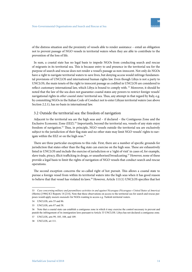

of the distress situation and the proximity of vessels able to render assistance – entail an obligation not to prevent passage of NGO vessels in territorial waters when they are able to contribute to the prevention of the loss of life.

In sum, a coastal state has no legal basis to impede NGOs from conducting search and rescue of migrants in its territorial sea. This is because entry to and presence in the territorial sea for the purpose of search and rescue does not render a vessel's passage as non-innocent. Not only do NGOs have a right to navigate territorial waters to save lives, but denying access would infringe fundamental provisions of UNCLOS and international human rights law. Even though Libya is not a party to UNCLOS, the main tenets of the right to innocent passage as codified in UNCLOS are considered to reflect customary international law, which Libya is bound to comply with.<sup>53</sup> Moreover, it should be noted that the law of the sea does not guarantee coastal states any powers to restrict foreign vessels' navigational rights in *other coastal states'* territorial sea. Thus, any attempt in that regard by Italy, e.g. by committing NGOs in the Italian Code of Conduct not to enter Libyan territorial waters (see above Section 2.2.1), has no basis in international law.

#### 3.2 Outside the territorial sea: the freedom of navigation

Adjacent to the territorial sea are the high seas and – if declared – the Contiguous Zone and the Exclusive Economic Zone (EEZ).<sup>54</sup> Importantly, beyond the territorial sea, vessels of any state enjoy freedom of navigation.<sup>55</sup> Thus, in principle, NGO vessels outside the territorial sea are exclusively subject to the jurisdiction of their flag state and no other state may limit NGO vessels' rights to navigate within the EEZ or on the high seas.<sup>56</sup>

There are three particular exceptions to this rule. First, there are a number of specific grounds for jurisdiction that states other than the flag state can exercise on the high seas. These are exhaustively listed in UNCLOS and include the exercise of jurisdiction or a 'right of visit' in cases of, for example, slave trade, piracy, illicit trafficking in drugs, or unauthorised broadcasting.<sup>57</sup> However, none of these provide a legal basis to limit the rights of navigation of NGO vessels that conduct search and rescue operations.

The second exception concerns the so-called right of hot pursuit. This allows a coastal state to pursue a foreign vessel from within its territorial waters into the high seas when it has good reason to believe that that vessel has violated its laws.<sup>58</sup> However, Article 111(1) UNCLOS specifies that hot

<sup>53</sup> *Case concerning military and paramilitary activities in and against Nicaragua (Nicaragua v United States of America)* (Merits) [1986] ICJ Reports 14 [214]. Note that these observations on access to the territorial sea for search and rescue purposes would apply *mutatis mutandis* for NGOs wanting to access e.g. Turkish territorial waters.

<sup>54</sup> UNCLOS, arts 55 and 86.

<sup>55</sup> UNCLOS, arts 87 and 58.

<sup>56</sup> Note that a coastal state can establish a contiguous zone in which it may exercise the control necessary to prevent and punish the infringement of its immigration laws pursuant to Article 33 UNCLOS. Libya has not declared a contiguous zone.

<sup>57</sup> UNCLOS, arts 99, 105, 108, and 109.

<sup>58</sup> UNCLOS, art 111.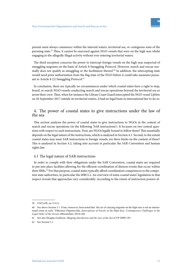

pursuit must always commence within the internal waters, territorial sea, or contiguous zone of the pursuing state.<sup>59</sup> Thus, it cannot be exercised against NGO vessels that were on the high seas whilst engaging in the allegedly illegal activity without ever entering territorial waters.

The third exception concerns the power to intercept foreign vessels on the high seas suspected of smuggling migrants on the basis of Article 8 Smuggling Protocol. However, search and rescue normally does not qualify as smuggling or the facilitation thereof. $60$  In addition, the intercepting state would need prior authorization from the flag state of the NGO before it could take measures pursuant to Article 8 (2) Smuggling Protocol.<sup>61</sup>

In conclusion, there are typically no circumstances under which coastal states have a right to stop, board, or search NGO vessels conducting search and rescue operations beyond the territorial sea or arrest their crew. Thus, when for instance the Libyan Coast Guard intercepted the NGO vessel *Lifeline* on 26 September 2017 outside its territorial waters, it had no legal basis in international law to do so.

# 4. The power of coastal states to give instructions under the law of the sea

This section analyses the power of coastal states to give instructions to NGOs in the context of search and rescue operations (in the following 'SAR instructions'). It focusses on two central questions with respect to such instructions. First, are NGOs legally bound to follow them? This essentially depends on the legal nature of the instructions, which is analysed in Section 4.1. Second, to the extent coastal states may issue SAR instructions to foreign vessels, are there limits on the content of these? This is analysed in Section 4.2, taking into account in particular the SAR Convention and human rights law.

#### 4.1 The legal nature of SAR instructions

In order to comply with their obligations under the SAR Convention, coastal states are required to put into place facilities allowing for the efficient coordination of distress events that occur within their SRRs.<sup>62</sup> For that purpose, coastal states typically afford coordination competences to the competent state authorities, in particular the MRCCs. An overview of some coastal states' legislation in that respect reveals that approaches vary considerably. According to the extent of instruction powers af-

<sup>59</sup> UNCLOS, art 111(1).

<sup>60</sup> See above Section 3.1. It has, moreover, been noted that 'the act of carrying migrants on the high seas is not an international crime as such.' Efthymios Papastavridis, *Interceptions of Vessels on the High Seas: Contemporary Challenges to the Legal Order of the Oceans* (Bloomsbury 2014) 266.

<sup>61</sup> See also Douglas Guilfoyle, *Shipping Interdiction and the Law of the Sea* (CUP 2009) 185.

<sup>62</sup> See Section 2.1.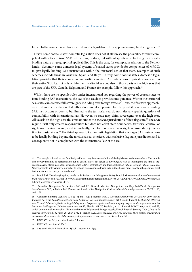forded to the competent authorities in domestic legislation, three approaches may be distinguished.<sup>63</sup>

Firstly, some coastal states' domestic legislation does not at all foresee the possibility for their competent authorities to issue SAR instructions, or does, but without specifically clarifying their legally binding nature or geographical applicability. This is the case, for example, in relation to the Netherlands.<sup>64</sup> Secondly, some domestic legal systems of coastal states provide for competences of MRCCs to give legally binding SAR instructions within the territorial sea of that state. Examples of such schemes include those in Australia, Spain, and Italy.<sup>65</sup> Thirdly, some coastal states' domestic legislation provides that their competent authorities can give SAR instructions to private vessels within their entire SRR, i.e. not only within their territorial sea but also in those parts of the high seas that are part of the SRR. Canada, Belgium, and France, for example, follow this approach.<sup>66</sup>

Whilst there are no specific rules under international law regarding the power of coastal states to issue binding SAR instructions, the law of the sea does provide some guidance. Within the territorial sea, states can exercise full sovereignty including over foreign vessels.<sup>67</sup> Thus, the first two approaches, i.e. domestic legislation that either does not at all provide for the possibility of legally binding SAR instructions or does so but limited to the territorial sea, do not raise any specific questions of compatibility with international law. However, no state may claim sovereignty over the high seas. All vessels on the high seas thus remain under the *exclusive* jurisdiction of their flag state.<sup>68</sup> The SAR regime itself only creates responsibilities but does not affect state boundaries, territorial control, or rights over navigation and, most importantly, therefore confers no new rights or grounds of jurisdiction to coastal states.<sup>69</sup> The third approach, i.e. domestic legislation that envisages SAR instructions to be legally binding beyond the territorial sea, interferes with exclusive flag state jurisdiction and is consequently not in compliance with the international law of the sea.

<sup>63</sup> The sample is based on the familiarity with and linguistic accessibility of the legislation to the researchers. The sample is in no way meant to be representative for all coastal states, but serves as a *prima facie* way of looking into the kind of legislation coastal states may adopt when it comes to SAR instructions and their application *ratione loci* and *ratione personae*. Where possible, interviews via e-mail or telephone were conducted with state authorities in order to obtain the pertinent legal instruments and the interpretation thereof.

<sup>64</sup> Dutch SAR Decision (*Regeling inzake de SAR-dienst van 26 augustus 1994*); Dutch SAR operational plan (*Operationeel Plan voor Search and Rescue*) 15 <www.kustwacht.nl/sites/default/files/2016-06-28%20OPPLAN%20SAR%20Versie%20 1.1.pdf> accessed 27 January 2018.

<sup>65</sup> Australian Navigation Act, sections 246 and 183; Spanish Maritime Navigation Law (*Ley 14/2014 de Navegación Marítima*) art 367(1); Italian SAR Decree, art 5; and Italian Navigation Code (*Codice della navigazione*) arts 69-70, 1113, and 1158.

<sup>66</sup> Canadian Shipping Act, arts 130(2)-(3) and 137(1); Flemish MRCC Decision (*Besluit van 26 Oktober 2007 van de Vlaamse Regering betreffende het Maritiem Reddings- en Coördinatiecentrum*) art 2 *juncto* Flemish MRCC Act (*Decreet van 16 Juni 2006 betreffende de begeleiding van scheepvaart op de maritieme toegangswegen en de organisatie van het Maritiem Reddings- en Coördinatiecentrum*) art 42; Flemish MRCC Decision, art 11; Flemish MRCC Act, arts 45 and 53, which does not make an explicit distinction between Belgian and foreign vessels; French Internal Security Code (*Code de la sécurité intérieure du 12 mars 2012*) art L742-5; French SAR Decree (*Décret n°88-531 du 2 mai 1988 portant organisation du secours, de la recherché et du sauvetage des personnes en détresse en mer*) arts 1 and 7(2).

<sup>67</sup> UNCLOS, art 2(1); see also Section 3.1 above.

<sup>68</sup> UNCLOS, arts 89 and 92(1).

<sup>69</sup> See also IAMSAR Manual (n 14) Vol I, section 2.3.15(e).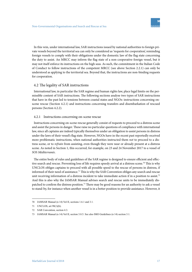In this vein, under international law, SAR instructions issued by national authorities to foreign private vessels beyond the territorial sea can only be considered as 'requests for cooperation', reminding foreign vessels to comply with their obligations under the domestic law of the flag state concerning the duty to assist. An MRCC may inform the flag state of a non-cooperative foreign vessel, but it may not itself enforce its instructions on the high seas. As such, the commitment in the Italian Code of Conduct to follow instructions of the competent MRCC (see above Section 2.2.1) can only be understood as applying to the territorial sea. Beyond that, the instructions are non-binding requests for cooperation.

#### 4.2 The legality of SAR instructions

International law, in particular the SAR regime and human rights law, place legal limits on the permissible content of SAR instructions. The following sections analyse two types of SAR instructions that have in the past led to tensions between coastal states and NGOs: instructions concerning onscene rescue (Section 4.2.1) and instructions concerning transfers and disembarkation of rescued persons (Section 4.2.2).

#### 4.2.1 Instructions concerning on-scene rescue

Instructions concerning on-scene rescue generally consist of requests to proceed to a distress scene and assist the persons in danger. These raise no particular questions of compliance with international law, since all captains are indeed typically themselves under an obligation to assist persons in distress under the laws of their vessel's flag state. However, NGOs have in the recent past reportedly received more problematic instructions, when national authorities instructed them *not* to proceed to a distress scene, or to *refrain* from assisting, even though they were near or already present at a distress scene. As noted in Section 1, this occurred, for example, on 23 and 24 November 2017 to a vessel of *SOS Méditerranée*.

The entire body of rules and guidelines of the SAR regime is designed to ensure efficient and effective search and rescue. Preventing loss of life requires speedy arrival at a distress scene.<sup>70</sup> This is why UNCLOS obliges captains to proceed with all possible speed to the rescue of persons in distress, if informed of their need of assistance.<sup>71</sup> This is why the SAR Convention obliges any search and rescue unit receiving information of a distress incident to take immediate action if in a position to assist.<sup>72</sup> And this is also why the IAMSAR Manual advises search and rescue units to be immediately dispatched to confirm the distress position.<sup>73</sup> There may be good reasons for an authority to ask a vessel to stand-by, for instance when another vessel is in a better position to provide assistance. However, it

<sup>70</sup> IAMSAR Manual (n 14) Vol II, sections 1.6.1 and 3.1.

<sup>71</sup> UNCLOS, art 98(1)(b).

<sup>72</sup> SAR Convention, section 4.3.

<sup>73</sup> IAMSAR Manual (n 14) Vol II, section 3.8.5. See also IMO Guidelines (n 14) section 3.1.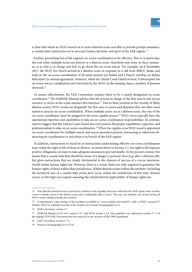

is clear that where an NGO vessel is at or near a distress scene and able to provide prompt assistance, a coastal state's instruction *not* to proceed violates the letter and spirit of the SAR regime.<sup>74</sup>

Further, preventing loss of life requires on-scene coordination to be effective. This is, in particular, the case when multiple actors are present at a distress scene. Questions may arise, in these instances, as to who is in charge and how to go about the on-scene rescue. For example, on 6 November 2017, the NGO *Sea Watch* arrived at a distress scene in response to a call from MRCC Rome and took on the on-scene coordination of all assets present (an Italian and a French warship, an Italian helicopter) in mutual agreement. However, when the Libyan Coast Guard arrived, it interrupted the on-scene rescue coordination and execution by the NGO. In the ensuing chaos a number of persons drowned.<sup>75</sup>

To ensure effectiveness, the SAR Convention requires there to be a clearly designated on-scene coordinator.<sup>76</sup> The IAMSAR Manual advises that the person in charge of the first search and rescue resource to arrive at the scene assumes this function.<sup>77</sup> Due to their position in the vicinity of likely distress scenes, NGO vessels are frequently the first ones to arrive and therefore they are often most suited to assume on-scene coordination. When multiple assets are at a distress scene, the role of the on-scene coordinator must be assigned to the most capable person.<sup>78</sup> NGO crews typically have the operational expertise and capabilities to take on on-scene coordination responsibilities. In contrast, reports suggest that the Libyan Coast Guard does not possess the proper capabilities, expertise, and professionalism to take on on-scene coordination.<sup>79</sup> When the captain of an NGO vessel is appointed on-scene coordinator for multiple search and rescue providers present, instructing or otherwise obstructing its coordination or execution is in breach of the SAR regime.

In addition, instructions to stand-by or instructions undermining effective on-scene coordination may violate the right to life of those in distress. As noted above in Section 3.1, the right to life imposes positive obligations on states to take adequate measures to prevent deaths. In the present context, this means that a coastal state that should be aware of a danger to persons' lives (e.g. after a distress call), but gives instructions that are clearly detrimental to the chances of success of a rescue operation, would violate human rights law. However, there is a caveat. States are only required to guarantee the human rights of those within their jurisdiction. Whilst distress scenes within the territory (including the territorial sea) of a coastal state *prima facie* occur within the jurisdiction of that state, distress scenes on the high seas require assessing the extraterritorial applicability of human rights law.

<sup>74</sup> Note that the instruction not to proceed to a distress scene arguably does not contravene the SAR regime when *another* vessel is already closer to the distress scene and is sufficiently able to assist. This way, for instance, one avoids having all NGO vessels rushing towards one incident.

<sup>75</sup> Comprehensive video footage of the incident is available at <www.youtube.com/watch?v=\_phI-f\_yFXQ> accessed 27 January 2018; for a detailed account of the incident see Forensic Oceanography (n 3).

<sup>76</sup> SAR Convention, section 4.7.

<sup>77</sup> IAMSAR Manual (n 14) Vol I, section 2.6.1. and Vol II, section 1.2.4. This guideline was enshrined in section 5.7.3 of the original 1979 SAR Convention but was removed on the occasion of the 1998 amendment.

<sup>78</sup> SAR Convention, section 4.7.2.

<sup>79</sup> Forensic Oceanography (n 3) 57-81.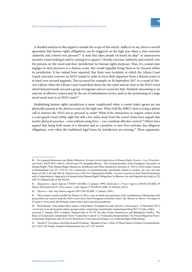A detailed analysis in this regard is outside the scope of this article. Suffice it to say, there is overall agreement that human rights obligations can be triggered on the high seas when a state exercises 'authority and control over persons'.<sup>80</sup> A state that takes people on board its ship<sup>81</sup> or manoeuvres around a vessel striking it and/or causing it to capsize,<sup>82</sup> thereby exercises 'authority and control' over the persons on the vessel and thus 'jurisdiction' for human rights purposes. Thus, if a coastal state engages in such practices at a distress scene, this would arguably bring those to be rescued within its jurisdiction. It has indeed been reported, that there were incidents in which the Libyan Coast Guard exercised coercion on NGO vessels in order to force their departure from a distress scene or to hand over rescued migrants. This occurred for example on 26 September 2017 to a vessel of *Mission Lifeline*, when the Libyan Coast Guard fired shots into the water and air close to the NGO vessel which had previously rescued a group of migrants and set course for Italy. Similarly amounting to an exercise of effective control may be the use of intimidation tactics, such as the positioning of a large naval vessel next to an NGO vessel.<sup>83</sup>

Establishing human rights jurisdiction is more complicated when a coastal state's agents are not physically present at the distress scene on the high seas. What if all the MRCC does is using a phone call to instruct the NGO not to proceed or assist? What if the instruction or request comes from a coast guard vessel within sight but still a few miles away from the scene? Some have argued that nearby physical presence – even without using force – can constitute effective control.<sup>84</sup> Others have argued that being both aware of a situation and in a position to save lives activates due diligence obligations, even when the traditional legal bases for jurisdiction are missing.<sup>85</sup> These arguments,

<sup>80</sup> For a general discussion, see Marko Milanovic, *Extraterritorial Application of Human Rights Treaties – Law, Principles, and Policy* (OUP 2011) 160-63, 168-69 and 193; Samantha Besson, 'The Extraterritoriality of the European Convention on Human Rights: Why Human Rights Depend on Jurisdiction and What Jurisdiction Amounts to' (2012) 25(4) Leiden Journal of International Law 857, 874-76. For a discussion of extraterritoriality specifically related to asylum, see *inter alia* den Heijer (n 50) 15-56 and 240-54, Moreno-Lax (n 50) Ch 8; Mariagiulia Giuffré, 'Access to Asylum at Sea? Non-Refoulement and a Comprehensive Approach to Extraterritorial Human Rights Obligations' in Moreno-Lax and Papastavridis (eds) (n 52) 248-75; Papastavridis (n 60) 302-08.

<sup>81</sup> *Rigopoulos v Spain* App no 37388/97 (ECtHR, 12 January 1999); *Medvedyev v France* App no 3394/03 (ECtHR, 29 March 2010) paras 66-67; *Hirsi Jamaa v Italy* App no 27765/09 (ECtHR, 23 February 2012).

<sup>82</sup> *Xhavara v Italy and Albania* App no 39473/98 (ECtHR, 11 January 2001).

<sup>83</sup> This scenario would resemble the *Women on Waves* case in which naval presence in the combination of threatening with prosecution was used to keep the NGO vessel away from Portuguese territorial waters. See *Women on Waves v Portugal* (n 47) para 9. At no point did Portugal contest that it had exercised jurisdiction.

<sup>84</sup> Paolo Biondi, 'Italy Strikes Back Again: A Push-Back's Firsthand Account' (*Border Criminologies*, 15 December 2017) <www.law.ox.ac.uk/research-subject-groups/centre-criminology/centreborder-criminologies/blog/2017/12/italy-strikes > accessed 27 January 2018. Compare: Papastavridis (n 45) 28. See also Violeta Moreno-Lax and Mariagiulia Giuffré, 'The Raise of Consensual Containment: From "Contactless Control" to "Contactless Responsibility" for Forced Migration Flows' in Satvinder Singh Juss (ed), *Research Handbook on International Refugee Law* (Edward Elgar forthcoming).

<sup>85</sup> Vassilis P Tzevelekos and Elena Katselli Proukaki, 'Migrants at Sea: A Duty of Plural States to Protect (Extraterritorially)?' (2017) 86 Nordic Journal of International Law 427, 455 and 463.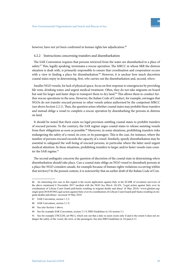however, have not yet been confirmed in human rights law adjudication.<sup>86</sup>

#### 4.2.2 Instructions concerning transfers and disembarkation

The SAR Convention requires that persons retrieved from the water are disembarked to a place of safety.<sup>87</sup> This, legally speaking, terminates a rescue operation. The MRCC in whose SRR the distress situation is dealt with, is primarily responsible to ensure that coordination and cooperation occurs with a view to finding a place for disembarkation.<sup>88</sup> However, it is unclear how much discretion coastal states enjoy in determining, first, *who* carries out the disembarkation and, second, *where*.

Smaller NGO vessels, for lack of physical space, focus on first response to emergencies by providing life vests, drinking water, and urgent medical treatment. Often, they do not take migrants on board but wait for larger and faster ships to transport them to dry land.<sup>89</sup> This allows them to conduct further rescue operations in the area. However, the Italian Code of Conduct, for example, envisages that NGOs do not transfer rescued persons to other vessels unless authorised by the competent MRCC (see above Section 2.2.1). Thus, the question arises whether coastal states may prohibit these transfers and instead oblige a vessel to complete a rescue operation by disembarking the persons in distress on land.

It should be noted that there exists no legal provision entitling coastal states to prohibit transfers of rescued persons. To the contrary, the SAR regime urges coastal states to release assisting vessels from their obligations as soon as possible.<sup>90</sup> Moreover, in some situations, prohibiting transfers risks endangering the safety of a vessel, its crew, or its passengers. This is the case, for instance, where the number of persons rescued exceeds the capacity of a vessel. Similarly, speedy disembarkation may be essential to safeguard the well-being of rescued persons, in particular where the latter need urgent medical attention. In these situations, prohibiting transfers to larger and/or faster vessels runs counter the SAR regime.<sup>91</sup>

The second ambiguity concerns the question of discretion of the coastal state in determining *where*  disembarkation should take place. Can a coastal state oblige an NGO vessel to disembark persons at a place the NGO considers unsafe, for example because of human rights violations occurring within that territory? In the present context, it is noteworthy that an earlier draft of the Italian Code of Con-

<sup>86</sup> An interesting test case in this regard is the recent application against Italy at the ECtHR of seventeen survivors of the above mentioned 6 November 2017 incident with the NGO *Sea Watch*. GLAN, 'Legal action against Italy over its coordination of Libyan Coast Guard pull-backs resulting in migrant deaths and abuse' (8 May 2018) <www.glanlaw.org/ single-post/2018/05/08/Legal-action-against-Italy-over-its-coordination-of-Libyan-Coast-Guard-pull-backs-resulting-in-migrant-deaths-and-abuse> accessed 10 May 2018.

<sup>87</sup> SAR Convention, section 1.3.2.

<sup>88</sup> SAR Convention, section 3.1.9.

<sup>89</sup> See also Section 1 above.

<sup>90</sup> See for example SAR Convention, section 3.1.9; IMO Guidelines (n 14) section 3.1.

<sup>91</sup> See for example UNCLOS, art 98(1), which sets out that a duty to assist exists only if and to the extent it does not endanger the safety of the vessel, the crew, or the passengers; See also IMO Guidelines (n 14) para 6.11.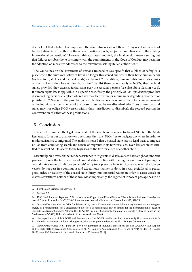

duct set out that a failure to comply with the commitments set out therein 'may result in the refusal by the Italian State to authorize the access to national ports, subject to compliance with the existing international conventions'.<sup>92</sup> However, this was later modified, the final version merely setting out that failures to subscribe to or comply with the commitments in the Code of Conduct may result in the adoption of 'measures addressed to the relevant vessels' by Italian authorities.<sup>93</sup>

The Guidelines on the Treatment of Persons Rescued at Sea specify that a 'place of safety' is a place where the survivors' safety of life is no longer threatened and where their basic human needs (such as food, shelter and medical needs) can be met.<sup>94</sup> In addition, human rights law creates limits on the choice of the place of disembarkation.<sup>95</sup> Whilst these do not apply to NGOs, they do bind states, provided they exercise jurisdiction over the rescued persons (see also above Section 4.2.1). If human rights law is applicable in a specific case, firstly, the principle of *non-refoulement* prohibits disembarking persons at a place where they may face torture or inhuman or degrading treatment or punishment.<sup>96</sup> Secondly, the prohibition of collective expulsion requires there to be an assessment of the individual circumstances of the persons rescued before disembarkation.<sup>97</sup> As a result, coastal states may not oblige NGO vessels within their jurisdiction to disembark the rescued persons in contravention of either of these prohibitions.

#### 5. Conclusion

This article examined the legal framework of the search and rescue activities of NGOs in the Mediterranean. It set out to analyse two questions: First, are NGOs free to navigate anywhere in order to render assistance to migrants? The analysis showed that a coastal state has no legal basis to impede NGOs from conducting search and rescue of migrants in its territorial sea. Even less are states entitled to restrict NGOs' access to the high seas or the territorial sea of another state.

Essentially, NGO vessels that render assistance to migrants in distress at sea have a right of innocent passage through the territorial sea of coastal states. In line with the regime on innocent passage, a coastal state can only limit foreign vessels' entry to or presence in its territorial sea when the foreign vessels do not pass in a continuous and expeditious manner or do so in a way prejudicial to peace, good order, or security of the coastal state. Entry into territorial waters in order to assist vessels in distress constitutes neither of those two. Most importantly, the regime of innocent passage has to be

<sup>92</sup> For the draft version, see above n 18.

<sup>93</sup> Section 2.2.1.

<sup>94</sup> IMO Guidelines (n 14) para 6.12; See also Jasmine Coppens and Eduard Somers, 'Towards New Rules on Disembarkation of Persons Rescued at Sea?'(2010) 25 International Journal of Marine and Coastal Law 377, 378-79.

<sup>95</sup> It should be noted that the IMO Guidelines (n 14) para 6.17 mentions human rights for asylum-seekers and refugees merely as a consideration. For a discussion on the effects of human rights law on options for the disembarkation of rescued migrants, see Kristof Gombeer, 'Human Rights Adrift? Enabling the Disembarkation of Migrants to a Place of Safety in the Mediterranean' (2015) 10 Irish Yearbook of International Law 31-40.

<sup>96</sup> See in particular Article 3 ECHR and the case law of the ECtHR on this question, most notably *Hirsi Jamaa v Italy* (n 81). Note that *refoulement* of those risking persecution is also prohibited under the 1951 Refugee Convention.

<sup>97</sup> *Hirsi Jamaa v Italy* (n 81) para 166. For the requirement of individual assessment, see also *Khlaifia v Italy* App no 16483/12 (ECtHR, 15 December 2016) paras 237-40; *ND and NT v Spain* App nos 8675/15 and 8675/15 (ECtHR, 3 October 2017) paras 98-99 [referred to the Grand Chamber on 29 January 2018].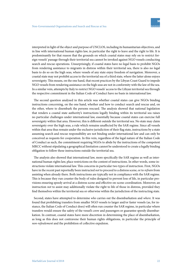interpreted in light of the object and purpose of UNCLOS, including its humanitarian objectives, and in line with international human rights law, in particular the right to leave and the right to life. It is predominantly for that reason that the grounds on which coastal states may rely on to restrict foreign vessels' passage through their territorial sea cannot be invoked against NGO vessels conducting search and rescue operations. Unsurprisingly, if coastal states have no legal basis to prohibit NGOs from rendering assistance to migrants in distress within their territorial sea, there is also no legal basis to do so on the high seas, where vessels of any state enjoy freedom of navigation. Moreover, a coastal state may not prohibit access to the territorial sea of a third state, where the latter alone enjoys sovereignty. This means, on the one hand, that recent practices by the Libyan Coast Guard to impede NGO vessels from rendering assistance on the high seas are not in conformity with the law of the sea. In a similar vein, attempts by Italy to restrict NGO vessels' access to the Libyan territorial sea through

The second question analysed in this article was whether coastal states can give NGOs binding instructions concerning, on the one hand, whether and how to conduct search and rescue and, on the other, where to disembark the persons rescued. The analysis showed that national legislation that renders a coastal state authority's instructions legally binding within its territorial sea raises no particular challenges under international law, essentially because coastal states can exercise full sovereignty within that area. However, this is different outside the territorial sea. No state may claim sovereignty over the high seas, a rule which remains unaffected by the SAR regime. Since all vessels within that area thus remain under the exclusive jurisdiction of their flag state, instructions by a state assuming search and rescue responsibility are not binding under international law and can only be conceived as requests for cooperation. In this vein, regardless of the legal nature of the Italian Code of Conduct as such, the commitment requiring NGOs to abide by the instructions of the competent MRCC without stipulating a geographical limitation cannot be understood to create a legally binding obligation to follow these instructions outside the territorial sea.

the respective commitment in the Italian Code of Conduct have no basis in international law.

The analysis also showed that international law, more specifically the SAR regime as well as international human rights law, place restrictions on the content of instructions. In other words, some instructions violate international law. This concerns in particular two types of instruction. First, NGOs have in the recent past reportedly been instructed *not* to proceed to a distress scene, or to *refrain* from assisting when already there. Both instructions are typically not in compliance with the SAR regime. This is because they run counter the body of rules designed to prevent loss of life, in particular provisions ensuring speedy arrival at a distress scene and effective on-scene coordination. Moreover, an instruction *not* to assist may additionally violate the right to life of those in distress, provided they find themselves within the territorial sea or otherwise within the jurisdiction of the instructing state.

Second, states have attempted to determine *who* carries out the disembarkation and *where*. It was found that prohibiting transfers from smaller NGO vessels to larger and/or faster vessels (as, for instance, the Italian Code of Conduct does) will often run counter the SAR regime, in particular where transfers would ensure the safety of the vessel's crew and passengers or guarantee speedy disembarkation. In contrast, coastal states have more discretion in determining the place of disembarkation, as long as this does not contravene their human rights obligations, in particular the principle of *non-refoulement* and the prohibition of collective expulsion.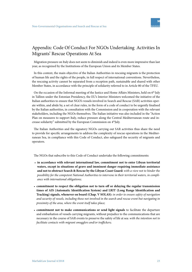

## Appendix: Code Of Conduct For NGOs Undertaking Activities In Migrants' Rescue Operations At Sea

Migration pressure on Italy does not seem to diminish and indeed is even more impressive than last year, as recognized by the Institutions of the European Union and its Member States.

In this context, the main objective of the Italian Authorities in rescuing migrants is the protection of human life and the rights of the people, in full respect of international conventions. Nevertheless, the rescuing activity cannot be separated from a reception path, sustainable and shared with other Member States, in accordance with the principle of solidarity referred to in Article 80 of the TFEU.

On the occasion of the Informal meeting of the Justice and Home Affairs Ministers, held on  $6<sup>th</sup>$  July in Tallinn under the Estonian Presidency, the EU's Interior Ministers welcomed the initiative of the Italian authorities to ensure that NGO's vessels involved in Search and Rescue (SAR) activities operate within, and abide by, a set of clear rules, in the form of a code of conduct to be urgently finalised by the Italian authorities, in consultation with the Commission and in cooperation with the relevant stakeholders, including the NGOs themselves. The Italian initiative was also included in the "Action Plan on measures to support Italy, reduce pressure along the Central Mediterranean route and increase solidarity" submitted by the European Commission on 4<sup>th</sup>July.

The Italian Authorities and the signatory NGOs carrying out SAR activities thus share the need to provide for specific arrangements to address the complexity of rescue operations in the Mediterranean Sea, in compliance with this Code of Conduct, also safeguard the security of migrants and operators.

The NGOs that subscribe to this Code of Conduct undertake the following commitments:

- **in accordance with relevant international law, commitment not to enter Libyan territorial waters, except in situations of grave and imminent danger requiring immediate assistance and not to obstruct Search & Rescue by the Libyan Coast Guard:** *with a view not to hinder the possibility for the competent National Authorities to intervene in their territorial waters, in compliance with international obligations;*
- **commitment to respect the obligation not to turn off or delaying the regular transmission times of AIS (Automatic Identification System) and LRIT (Long Range Identification and Tracking) signals, whenever on board (Chap. V SOLAS):** *in order to ensure safety of navigation and security of vessels, including those not involved in the search and rescue event but navigating in proximity of the area, where the event itself takes place;*
- **commitment not to make communications or send light signals** to facilitate the departure and embarkation of vessels carrying migrants, without prejudice to the communications that are necessary in the course of SAR events to preserve the safety of life at sea: *with the intention not to facilitate contacts with migrant smugglers and/or traffickers;*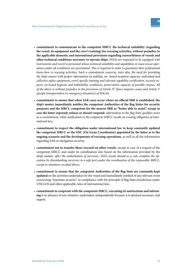- **commitment to communicate to the competent MRCC the technical suitability (regarding the vessel, its equipment and the crew's training) for rescuing activities, without prejudice to the applicable domestic and international provisions regarding seaworthiness of vessels and other technical conditions necessary to operate ships:** *NGOs are requested to be equipped with instruments and resort to personnel whose technical suitability and capabilities in mass rescue operations under all conditions are ascertained. This is required in order to guarantee their professional know-how in rescuing activities. Such a commitment concerns, inter alia, the need for providing the ship's master with proper information on stability, on- board reception capacity, individual and collective safety equipment, crew's specific training and relevant capability certification, security aspects, on board hygienic and habitability conditions, preservation capacity of possible corpses. All of the above is without prejudice to the provisions of Article IV (force majeure cases) and Article V (people transportation in emergency situations) of SOLAS;*
- **commitment to ensure that when SAR cases occur where no official SRR is established, the ship's master immediately notifies the competent Authorities of the flag States for security purposes and the MRCC competent for the nearest SRR as "better able to assist", except in case the latter expressly refuses or doesn't respond:** *information to the flag State qualifies more as a commitment, while notification to the competent MRCC recalls an existing obligation of international law;*
- **commitment to respect the obligation under international law to keep constantly updated the competent MRCC or the OSC (On Scene Coordinator) appointed by the latter as to the ongoing scenario and the developments of rescuing operations,** as well as all the information regarding SAR or navigation security;
- **commitment not to transfer those rescued on other vessels,** except in case of a request of the competent MRCC and under its coordination also based on the information provided by the ship's master: *after the embarkation of survivors, NGO vessels should as a rule complete the operation by disembarking survivors in a safe port under the coordination of the responsible MRCC, except in situations recalled above;*
- **commitment to ensure that the competent Authorities of the flag State are constantly kept updated** on the activities undertaken by the vessel and immediately notified of any relevant event concerning "maritime security", in compliance with the principle of flag State jurisdiction under UNCLOS and other applicable rules of international law;
- **commitment to cooperate with the competent MRCC, executing its instructions and informing** it in advance of any initiative undertaken independently because it is deemed necessary and urgent;